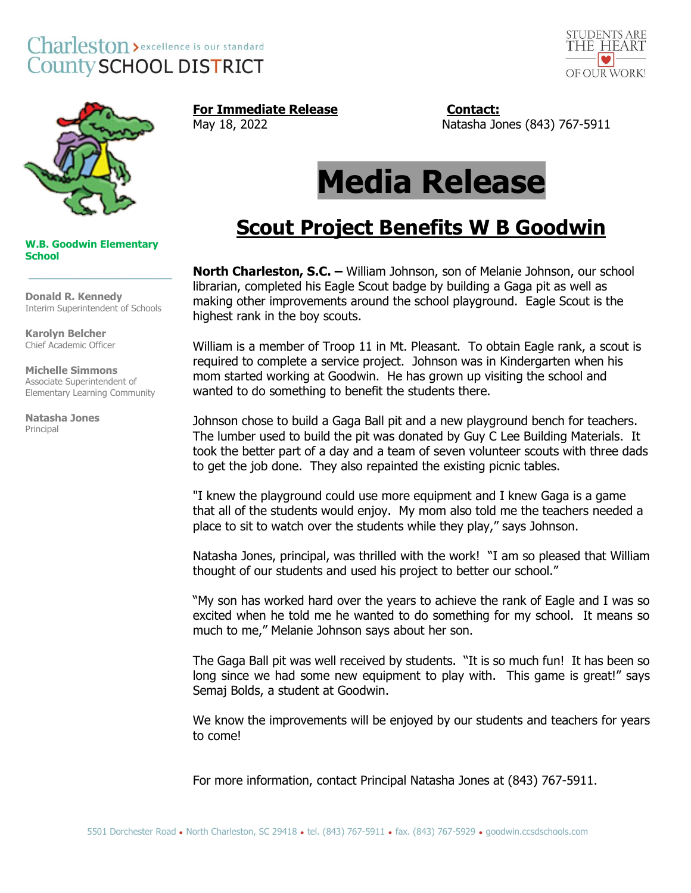### Charleston > excellence is our standard **County SCHOOL DISTRICT**





**For Immediate Release Contact:** 

May 18, 2022 Natasha Jones (843) 767-5911

# **Media Release**

## **Scout Project Benefits W B Goodwin**

**North Charleston, S.C. –** William Johnson, son of Melanie Johnson, our school librarian, completed his Eagle Scout badge by building a Gaga pit as well as making other improvements around the school playground. Eagle Scout is the highest rank in the boy scouts.

William is a member of Troop 11 in Mt. Pleasant. To obtain Eagle rank, a scout is required to complete a service project. Johnson was in Kindergarten when his mom started working at Goodwin. He has grown up visiting the school and wanted to do something to benefit the students there.

Johnson chose to build a Gaga Ball pit and a new playground bench for teachers. The lumber used to build the pit was donated by Guy C Lee Building Materials. It took the better part of a day and a team of seven volunteer scouts with three dads to get the job done. They also repainted the existing picnic tables.

"I knew the playground could use more equipment and I knew Gaga is a game that all of the students would enjoy. My mom also told me the teachers needed a place to sit to watch over the students while they play," says Johnson.

Natasha Jones, principal, was thrilled with the work! "I am so pleased that William thought of our students and used his project to better our school."

"My son has worked hard over the years to achieve the rank of Eagle and I was so excited when he told me he wanted to do something for my school. It means so much to me," Melanie Johnson says about her son.

The Gaga Ball pit was well received by students. "It is so much fun! It has been so long since we had some new equipment to play with. This game is great!" says Semaj Bolds, a student at Goodwin.

We know the improvements will be enjoyed by our students and teachers for years to come!

For more information, contact Principal Natasha Jones at (843) 767-5911.

**W.B. Goodwin Elementary School**

**Donald R. Kennedy** Interim Superintendent of Schools

**\_\_\_\_\_\_\_\_\_\_\_\_\_\_\_\_\_\_\_\_**

**Karolyn Belcher** Chief Academic Officer

**Michelle Simmons** Associate Superintendent of Elementary Learning Community

**Natasha Jones** Principal